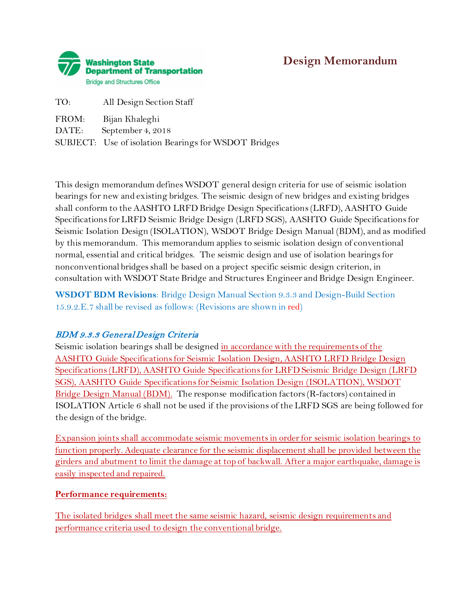# **Design Memorandum**



| TO:   | All Design Section Staff                             |
|-------|------------------------------------------------------|
| FROM: | Bijan Khaleghi                                       |
| DATE: | September 4, 2018                                    |
|       | SUBJECT: Use of isolation Bearings for WSDOT Bridges |

This design memorandum defines WSDOT general design criteria for use of seismic isolation bearings for new and existing bridges. The seismic design of new bridges and existing bridges shall conform to the AASHTO LRFD Bridge Design Specifications (LRFD), AASHTO Guide Specifications for LRFD Seismic Bridge Design (LRFD SGS), AASHTO Guide Specifications for Seismic Isolation Design (ISOLATION), WSDOT Bridge Design Manual (BDM), and as modified by this memorandum. This memorandum applies to seismic isolation design of conventional normal, essential and critical bridges. The seismic design and use of isolation bearings for nonconventional bridges shall be based on a project specific seismic design criterion, in consultation with WSDOT State Bridge and Structures Engineer and Bridge Design Engineer.

**WSDOT BDM Revisions**: Bridge Design Manual Section 9.3.3 and Design-Build Section 15.9.2.E.7 shall be revised as follows: (Revisions are shown in red)

# BDM 9.3.3 General Design Criteria

Seismic isolation bearings shall be designed in accordance with the requirements of the AASHTO Guide Specifications for Seismic Isolation Design, AASHTO LRFD Bridge Design Specifications (LRFD), AASHTO Guide Specifications for LRFD Seismic Bridge Design (LRFD SGS), AASHTO Guide Specifications for Seismic Isolation Design (ISOLATION), WSDOT Bridge Design Manual (BDM). The response modification factors (R-factors) contained in ISOLATION Article 6 shall not be used if the provisions of the LRFD SGS are being followed for the design of the bridge.

Expansion joints shall accommodate seismic movements in order for seismic isolation bearings to function properly. Adequate clearance for the seismic displacement shall be provided between the girders and abutment to limit the damage at top of backwall. After a major earthquake, damage is easily inspected and repaired.

### **Performance requirements:**

The isolated bridges shall meet the same seismic hazard, seismic design requirements and performance criteria used to design the conventional bridge.